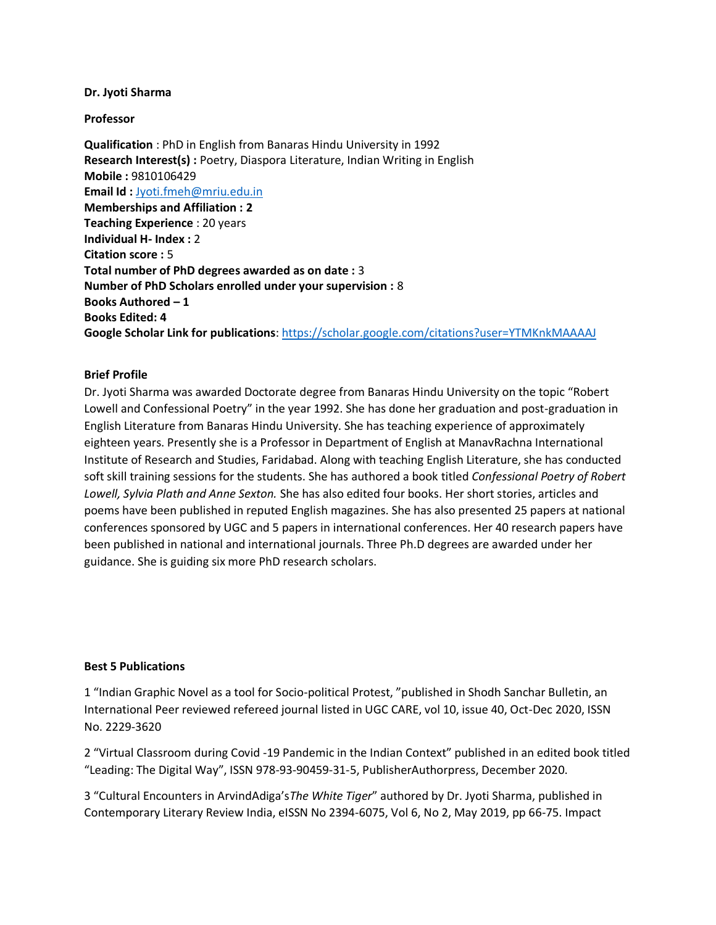## **Dr. Jyoti Sharma**

## **Professor**

**Qualification** : PhD in English from Banaras Hindu University in 1992 **Research Interest(s) :** Poetry, Diaspora Literature, Indian Writing in English **Mobile :** 9810106429 **Email Id :** [Jyoti.fmeh@mriu.edu.in](mailto:Jyoti.fmeh@mriu.edu.in) **Memberships and Affiliation : 2 Teaching Experience** : 20 years **Individual H- Index :** 2 **Citation score :** 5 **Total number of PhD degrees awarded as on date :** 3 **Number of PhD Scholars enrolled under your supervision :** 8 **Books Authored – 1 Books Edited: 4 Google Scholar Link for publications**: <https://scholar.google.com/citations?user=YTMKnkMAAAAJ>

## **Brief Profile**

Dr. Jyoti Sharma was awarded Doctorate degree from Banaras Hindu University on the topic "Robert Lowell and Confessional Poetry" in the year 1992. She has done her graduation and post-graduation in English Literature from Banaras Hindu University. She has teaching experience of approximately eighteen years. Presently she is a Professor in Department of English at ManavRachna International Institute of Research and Studies, Faridabad. Along with teaching English Literature, she has conducted soft skill training sessions for the students. She has authored a book titled *Confessional Poetry of Robert Lowell, Sylvia Plath and Anne Sexton.* She has also edited four books. Her short stories, articles and poems have been published in reputed English magazines. She has also presented 25 papers at national conferences sponsored by UGC and 5 papers in international conferences. Her 40 research papers have been published in national and international journals. Three Ph.D degrees are awarded under her guidance. She is guiding six more PhD research scholars.

## **Best 5 Publications**

1 "Indian Graphic Novel as a tool for Socio-political Protest, "published in Shodh Sanchar Bulletin, an International Peer reviewed refereed journal listed in UGC CARE, vol 10, issue 40, Oct-Dec 2020, ISSN No. 2229-3620

2 "Virtual Classroom during Covid -19 Pandemic in the Indian Context" published in an edited book titled "Leading: The Digital Way", ISSN 978-93-90459-31-5, PublisherAuthorpress, December 2020.

3 "Cultural Encounters in ArvindAdiga's*The White Tiger*" authored by Dr. Jyoti Sharma, published in Contemporary Literary Review India, eISSN No 2394-6075, Vol 6, No 2, May 2019, pp 66-75. Impact